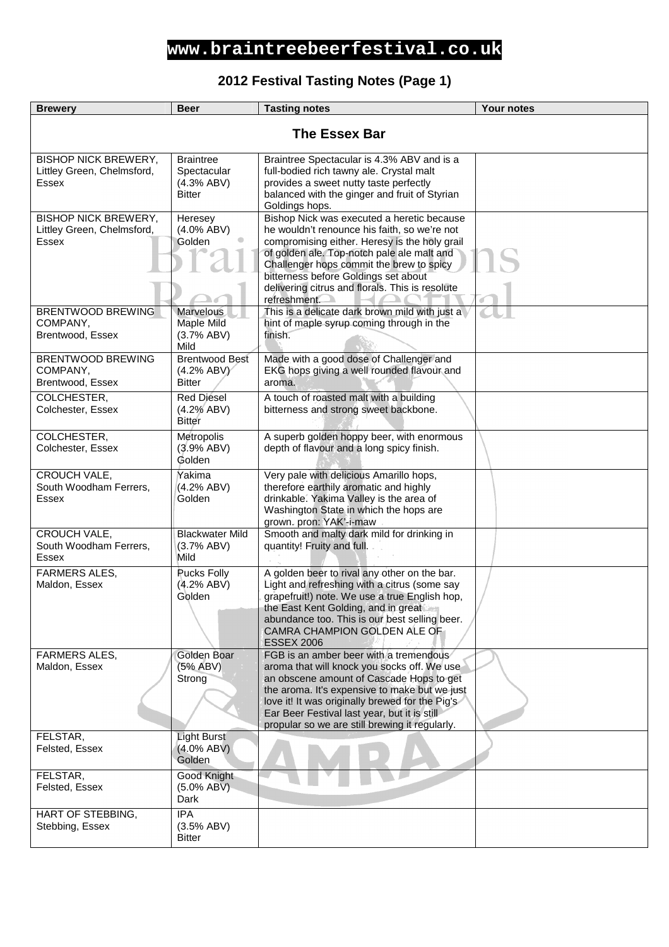### **2012 Festival Tasting Notes (Page 1)**

| <b>Brewery</b>                                                            | <b>Beer</b>                                                    | <b>Tasting notes</b>                                                                                                                                                                                                                                                                                                                             | <b>Your notes</b> |
|---------------------------------------------------------------------------|----------------------------------------------------------------|--------------------------------------------------------------------------------------------------------------------------------------------------------------------------------------------------------------------------------------------------------------------------------------------------------------------------------------------------|-------------------|
| <b>The Essex Bar</b>                                                      |                                                                |                                                                                                                                                                                                                                                                                                                                                  |                   |
| <b>BISHOP NICK BREWERY,</b><br>Littley Green, Chelmsford,<br>Essex        | <b>Braintree</b><br>Spectacular<br>(4.3% ABV)<br><b>Bitter</b> | Braintree Spectacular is 4.3% ABV and is a<br>full-bodied rich tawny ale. Crystal malt<br>provides a sweet nutty taste perfectly<br>balanced with the ginger and fruit of Styrian<br>Goldings hops.                                                                                                                                              |                   |
| <b>BISHOP NICK BREWERY,</b><br>Littley Green, Chelmsford,<br><b>Essex</b> | Heresey<br>$(4.0\%$ ABV)<br>Golden                             | Bishop Nick was executed a heretic because<br>he wouldn't renounce his faith, so we're not<br>compromising either. Heresy is the holy grail<br>of golden ale. Top-notch pale ale malt and<br>Challenger hops commit the brew to spicy<br>bitterness before Goldings set about<br>delivering citrus and florals. This is resolute<br>refreshment. |                   |
| BRENTWOOD BREWING<br>COMPANY,<br>Brentwood, Essex                         | Marvelous<br>Maple Mild<br>(3.7% ABV)<br>Mild                  | This is a delicate dark brown mild with just a<br>hint of maple syrup coming through in the<br>finish.                                                                                                                                                                                                                                           |                   |
| <b>BRENTWOOD BREWING</b><br>COMPANY,<br>Brentwood, Essex                  | <b>Brentwood Best</b><br>(4.2% ABV)<br><b>Bitter</b>           | Made with a good dose of Challenger and<br>EKG hops giving a well rounded flavour and<br>aroma.                                                                                                                                                                                                                                                  |                   |
| COLCHESTER,<br>Colchester, Essex                                          | <b>Red Diesel</b><br>(4.2% ABV)<br>Bitter                      | A touch of roasted malt with a building<br>bitterness and strong sweet backbone.                                                                                                                                                                                                                                                                 |                   |
| COLCHESTER,<br>Colchester, Essex                                          | Metropolis<br>(3.9% ABV)<br>Golden                             | A superb golden hoppy beer, with enormous<br>depth of flavour and a long spicy finish.                                                                                                                                                                                                                                                           |                   |
| CROUCH VALE,<br>South Woodham Ferrers,<br>Essex                           | Yakima<br>(4.2% ABV)<br>Golden                                 | Very pale with delicious Amarillo hops,<br>therefore earthily aromatic and highly<br>drinkable. Yakima Valley is the area of<br>Washington State in which the hops are<br>grown. pron: YAK'-i-maw                                                                                                                                                |                   |
| CROUCH VALE,<br>South Woodham Ferrers,<br>Essex                           | <b>Blackwater Mild</b><br>(3.7% ABV)<br>Mild                   | Smooth and malty dark mild for drinking in<br>quantity! Fruity and full.                                                                                                                                                                                                                                                                         |                   |
| <b>FARMERS ALES.</b><br>Maldon, Essex                                     | Pucks Folly<br>(4.2% ABV)<br>Golden                            | A golden beer to rival any other on the bar.<br>Light and refreshing with a citrus (some say<br>grapefruit!) note. We use a true English hop,<br>the East Kent Golding, and in great<br>abundance too. This is our best selling beer.<br>CAMRA CHAMPION GOLDEN ALE OF<br><b>ESSEX 2006</b>                                                       |                   |
| FARMERS ALES,<br>Maldon, Essex                                            | Golden Boar<br>(5% ABV)<br>Strong                              | FGB is an amber beer with a tremendous<br>aroma that will knock you socks off. We use<br>an obscene amount of Cascade Hops to get<br>the aroma. It's expensive to make but we just<br>love it! It was originally brewed for the Pig's<br>Ear Beer Festival last year, but it is still<br>propular so we are still brewing it regularly.          |                   |
| FELSTAR,<br>Felsted, Essex                                                | <b>Light Burst</b><br>$(4.0\%$ ABV)<br>Golden                  |                                                                                                                                                                                                                                                                                                                                                  |                   |
| FELSTAR,<br>Felsted, Essex                                                | Good Knight<br>$(5.0\%$ ABV)<br>Dark                           |                                                                                                                                                                                                                                                                                                                                                  |                   |
| HART OF STEBBING,<br>Stebbing, Essex                                      | <b>IPA</b><br>(3.5% ABV)<br><b>Bitter</b>                      |                                                                                                                                                                                                                                                                                                                                                  |                   |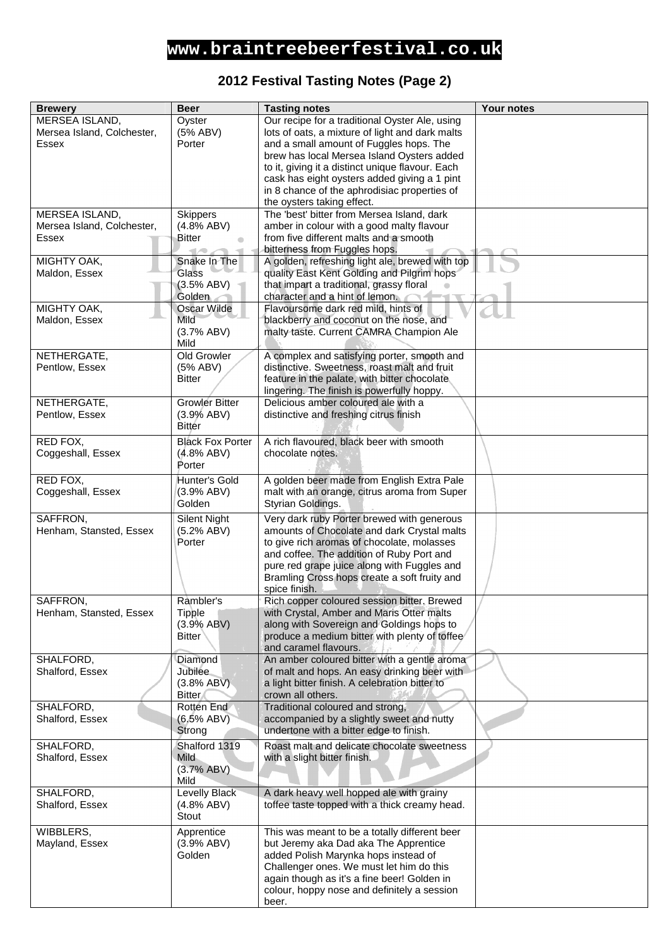#### **2012 Festival Tasting Notes (Page 2)**

| <b>Brewery</b>             | <b>Beer</b>             | <b>Tasting notes</b>                                                                          | Your notes |
|----------------------------|-------------------------|-----------------------------------------------------------------------------------------------|------------|
| MERSEA ISLAND,             | Oyster                  | Our recipe for a traditional Oyster Ale, using                                                |            |
| Mersea Island, Colchester, | (5% ABV)                | lots of oats, a mixture of light and dark malts                                               |            |
| Essex                      | Porter                  | and a small amount of Fuggles hops. The                                                       |            |
|                            |                         | brew has local Mersea Island Oysters added                                                    |            |
|                            |                         | to it, giving it a distinct unique flavour. Each                                              |            |
|                            |                         | cask has eight oysters added giving a 1 pint                                                  |            |
|                            |                         | in 8 chance of the aphrodisiac properties of                                                  |            |
|                            |                         | the oysters taking effect.                                                                    |            |
| MERSEA ISLAND,             | <b>Skippers</b>         | The 'best' bitter from Mersea Island, dark                                                    |            |
| Mersea Island, Colchester, | (4.8% ABV)              | amber in colour with a good malty flavour                                                     |            |
| Essex                      | Bitter                  | from five different malts and a smooth                                                        |            |
| MIGHTY OAK,                | Snake In The            | bitterness from Fuggles hops.                                                                 |            |
| Maldon, Essex              | Glass                   | A golden, refreshing light ale, brewed with top<br>quality East Kent Golding and Pilgrim hops |            |
|                            | (3.5% ABV)              | that impart a traditional, grassy floral                                                      |            |
|                            | Golden                  | character and a hint of lemon.                                                                |            |
| MIGHTY OAK,                | <b>Oscar Wilde</b>      | Flavoursome dark red mild, hints of                                                           |            |
| Maldon, Essex              | Mild                    | blackberry and coconut on the nose, and                                                       |            |
|                            | (3.7% ABV)              | malty taste. Current CAMRA Champion Ale                                                       |            |
|                            | Mild                    |                                                                                               |            |
| NETHERGATE,                | Old Growler             | A complex and satisfying porter, smooth and                                                   |            |
| Pentlow, Essex             | (5% ABV)                | distinctive. Sweetness, roast malt and fruit                                                  |            |
|                            | <b>Bitter</b>           | feature in the palate, with bitter chocolate                                                  |            |
|                            |                         | lingering. The finish is powerfully hoppy.                                                    |            |
| NETHERGATE,                | <b>Growler Bitter</b>   | Delicious amber coloured ale with a                                                           |            |
| Pentlow, Essex             | (3.9% ABV)              | distinctive and freshing citrus finish                                                        |            |
|                            | <b>Bitter</b>           |                                                                                               |            |
| RED FOX,                   | <b>Black Fox Porter</b> | A rich flavoured, black beer with smooth                                                      |            |
| Coggeshall, Essex          | (4.8% ABV)              | chocolate notes.                                                                              |            |
|                            | Porter                  |                                                                                               |            |
| RED FOX,                   | Hunter's Gold           | A golden beer made from English Extra Pale                                                    |            |
| Coggeshall, Essex          | (3.9% ABV)              | malt with an orange, citrus aroma from Super                                                  |            |
|                            | Golden                  | Styrian Goldings.                                                                             |            |
| SAFFRON,                   | <b>Silent Night</b>     | Very dark ruby Porter brewed with generous                                                    |            |
| Henham, Stansted, Essex    | (5.2% ABV)              | amounts of Chocolate and dark Crystal malts                                                   |            |
|                            | Porter                  | to give rich aromas of chocolate, molasses                                                    |            |
|                            |                         | and coffee. The addition of Ruby Port and                                                     |            |
|                            |                         | pure red grape juice along with Fuggles and                                                   |            |
|                            |                         | Bramling Cross hops create a soft fruity and                                                  |            |
|                            |                         | spice finish.                                                                                 |            |
| SAFFRON,                   | Rambler's               | Rich copper coloured session bitter. Brewed                                                   |            |
| Henham, Stansted, Essex    | <b>Tipple</b>           | with Crystal, Amber and Maris Otter malts                                                     |            |
|                            | (3.9% ABV)              | along with Sovereign and Goldings hops to                                                     |            |
|                            | <b>Bitter</b>           | produce a medium bitter with plenty of toffee<br>and caramel flavours.                        |            |
| SHALFORD,                  | Diamond                 | An amber coloured bitter with a gentle aroma                                                  |            |
| Shalford, Essex            | <b>Jubilee</b>          | of malt and hops. An easy drinking beer with                                                  |            |
|                            | (3.8% ABV)              | a light bitter finish. A celebration bitter to                                                |            |
|                            | <b>Bitter</b>           | crown all others.                                                                             |            |
| SHALFORD,                  | Rotten End              | Traditional coloured and strong,                                                              |            |
| Shalford, Essex            | (6.5% ABV)              | accompanied by a slightly sweet and nutty                                                     |            |
|                            | Strong                  | undertone with a bitter edge to finish.                                                       |            |
| SHALFORD,                  | Shalford 1319           | Roast malt and delicate chocolate sweetness                                                   |            |
| Shalford, Essex            | <b>Mild</b>             | with a slight bitter finish.                                                                  |            |
|                            | (3.7% ABV)              |                                                                                               |            |
|                            | Mild                    |                                                                                               |            |
| SHALFORD,                  | <b>Levelly Black</b>    | A dark heavy well hopped ale with grainy                                                      |            |
| Shalford, Essex            | (4.8% ABV)              | toffee taste topped with a thick creamy head.                                                 |            |
|                            | Stout                   |                                                                                               |            |
| WIBBLERS,                  | Apprentice              | This was meant to be a totally different beer                                                 |            |
| Mayland, Essex             | (3.9% ABV)              | but Jeremy aka Dad aka The Apprentice                                                         |            |
|                            | Golden                  | added Polish Marynka hops instead of                                                          |            |
|                            |                         | Challenger ones. We must let him do this                                                      |            |
|                            |                         | again though as it's a fine beer! Golden in                                                   |            |
|                            |                         | colour, hoppy nose and definitely a session                                                   |            |
|                            |                         | beer.                                                                                         |            |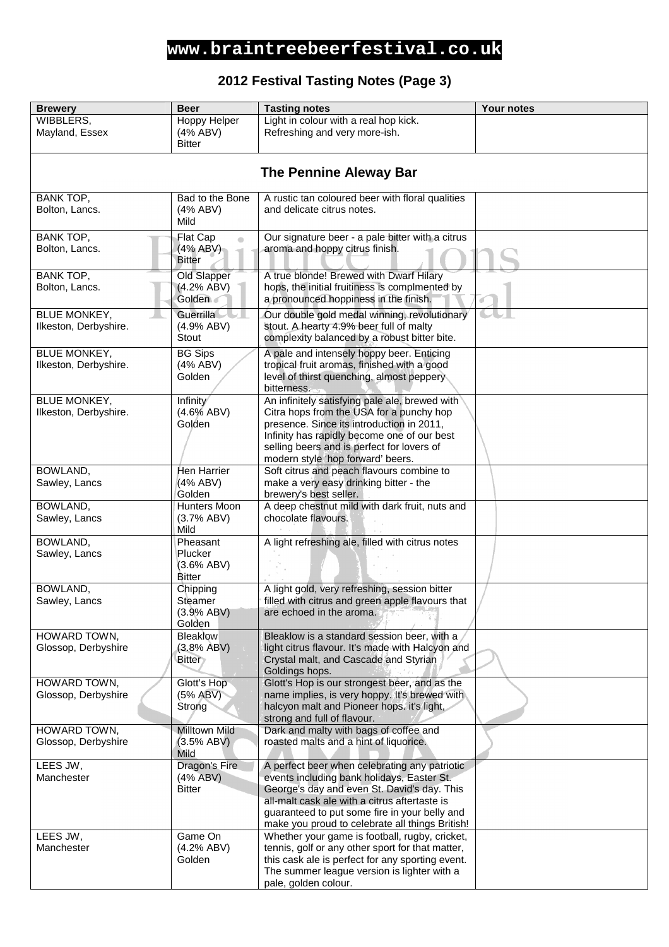### **2012 Festival Tasting Notes (Page 3)**

| <b>Brewery</b>        | <b>Beer</b>                      | <b>Tasting notes</b>                                                                            | <b>Your notes</b> |
|-----------------------|----------------------------------|-------------------------------------------------------------------------------------------------|-------------------|
| WIBBLERS,             | Hoppy Helper                     | Light in colour with a real hop kick.                                                           |                   |
| Mayland, Essex        | (4% ABV)                         | Refreshing and very more-ish.                                                                   |                   |
|                       | <b>Bitter</b>                    |                                                                                                 |                   |
|                       |                                  |                                                                                                 |                   |
|                       |                                  | <b>The Pennine Aleway Bar</b>                                                                   |                   |
|                       |                                  |                                                                                                 |                   |
| <b>BANK TOP,</b>      | Bad to the Bone                  | A rustic tan coloured beer with floral qualities                                                |                   |
| Bolton, Lancs.        | (4% ABV)                         | and delicate citrus notes.                                                                      |                   |
|                       | Mild                             |                                                                                                 |                   |
| BANK TOP,             |                                  | Our signature beer - a pale bitter with a citrus                                                |                   |
| Bolton, Lancs.        | Flat Cap<br>$\bullet$<br>(4%ABV) | aroma and hoppy citrus finish.                                                                  |                   |
|                       | <b>Bitter</b>                    |                                                                                                 |                   |
|                       |                                  |                                                                                                 |                   |
| <b>BANK TOP,</b>      | Old Slapper                      | A true blonde! Brewed with Dwarf Hilary                                                         |                   |
| Bolton, Lancs.        | (4.2% ABV)                       | hops, the initial fruitiness is complmented by                                                  |                   |
|                       | Golden                           | a pronounced hoppiness in the finish.                                                           |                   |
| <b>BLUE MONKEY,</b>   | <b>Guerrilla</b>                 | Our double gold medal winning, revolutionary                                                    |                   |
| Ilkeston, Derbyshire. | (4.9% ABV)                       | stout. A hearty 4.9% beer full of malty                                                         |                   |
|                       | Stout                            | complexity balanced by a robust bitter bite.                                                    |                   |
| <b>BLUE MONKEY,</b>   | <b>BG Sips</b>                   | A pale and intensely hoppy beer. Enticing                                                       |                   |
| Ilkeston, Derbyshire. | (4% ABV)                         | tropical fruit aromas, finished with a good                                                     |                   |
|                       | Golden                           | level of thirst quenching, almost peppery                                                       |                   |
|                       |                                  | bitterness.                                                                                     |                   |
| <b>BLUE MONKEY,</b>   | Infinity                         | An infinitely satisfying pale ale, brewed with                                                  |                   |
| Ilkeston, Derbyshire. | (4.6% ABV)                       | Citra hops from the USA for a punchy hop                                                        |                   |
|                       | Golden                           | presence. Since its introduction in 2011,                                                       |                   |
|                       |                                  | Infinity has rapidly become one of our best                                                     |                   |
|                       |                                  | selling beers and is perfect for lovers of<br>modern style 'hop forward' beers.                 |                   |
| BOWLAND,              | Hen Harrier                      | Soft citrus and peach flavours combine to                                                       |                   |
| Sawley, Lancs         | (4% ABV)                         | make a very easy drinking bitter - the                                                          |                   |
|                       | Golden                           | brewery's best seller.                                                                          |                   |
| BOWLAND,              | Hunters Moon                     | A deep chestnut mild with dark fruit, nuts and                                                  |                   |
| Sawley, Lancs         | (3.7% ABV)                       | chocolate flavours.                                                                             |                   |
|                       | Mild                             |                                                                                                 |                   |
| BOWLAND,              | Pheasant                         | A light refreshing ale, filled with citrus notes                                                |                   |
| Sawley, Lancs         | Plucker                          |                                                                                                 |                   |
|                       | (3.6% ABV)                       |                                                                                                 |                   |
|                       | <b>Bitter</b>                    |                                                                                                 |                   |
| BOWLAND,              | Chipping                         | A light gold, very refreshing, session bitter                                                   |                   |
| Sawley, Lancs         | Steamer                          | filled with citrus and green apple flavours that                                                |                   |
|                       | (3.9% ABV)                       | are echoed in the aroma.                                                                        |                   |
|                       | Golden                           |                                                                                                 |                   |
| HOWARD TOWN,          | Bleaklow                         | Bleaklow is a standard session beer, with a                                                     |                   |
| Glossop, Derbyshire   | (3.8% ABV)<br><b>Bitter</b>      | light citrus flavour. It's made with Halcyon and<br>Crystal malt, and Cascade and Styrian       |                   |
|                       |                                  | Goldings hops.                                                                                  |                   |
| HOWARD TOWN,          | Glott's Hop                      | Glott's Hop is our strongest beer, and as the                                                   |                   |
| Glossop, Derbyshire   | (5% ABV)                         | name implies, is very hoppy. It's brewed with                                                   |                   |
|                       | Strong                           | halcyon malt and Pioneer hops. it's light,                                                      |                   |
|                       |                                  | strong and full of flavour.                                                                     |                   |
| HOWARD TOWN,          | <b>Milltown Mild</b>             | Dark and malty with bags of coffee and                                                          |                   |
| Glossop, Derbyshire   | (3.5% ABV)                       | roasted malts and a hint of liquorice.                                                          |                   |
|                       | Mild                             |                                                                                                 |                   |
| LEES JW,              | Dragon's Fire                    | A perfect beer when celebrating any patriotic                                                   |                   |
| Manchester            | $(4%$ ABV)                       | events including bank holidays, Easter St.                                                      |                   |
|                       | <b>Bitter</b>                    | George's day and even St. David's day. This                                                     |                   |
|                       |                                  | all-malt cask ale with a citrus aftertaste is                                                   |                   |
|                       |                                  | guaranteed to put some fire in your belly and                                                   |                   |
|                       |                                  | make you proud to celebrate all things British!                                                 |                   |
| LEES JW,              | Game On                          | Whether your game is football, rugby, cricket,                                                  |                   |
| Manchester            | (4.2% ABV)                       | tennis, golf or any other sport for that matter,                                                |                   |
|                       | Golden                           | this cask ale is perfect for any sporting event.<br>The summer league version is lighter with a |                   |
|                       |                                  | pale, golden colour.                                                                            |                   |
|                       |                                  |                                                                                                 |                   |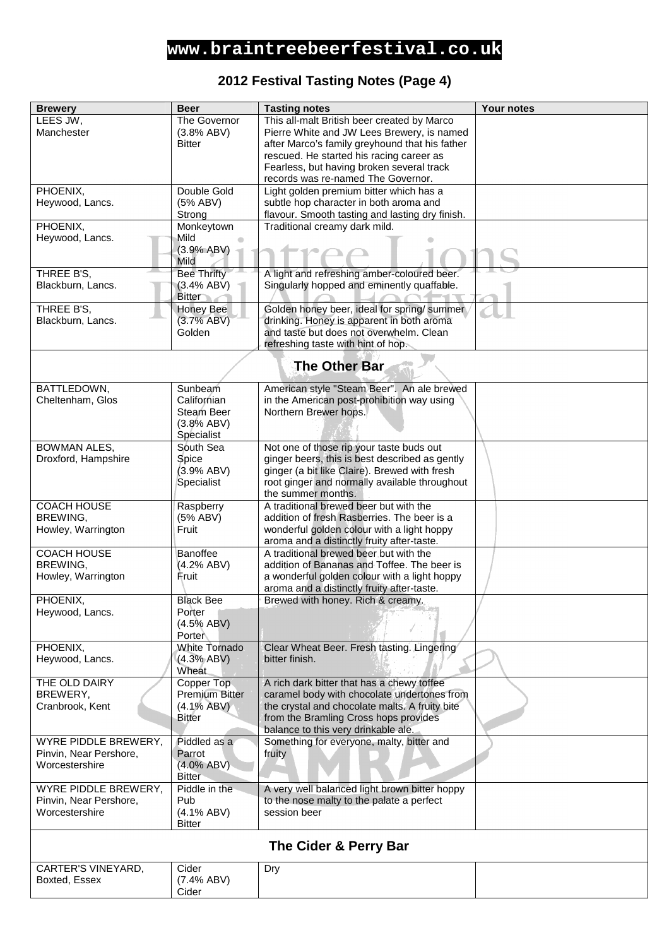### **2012 Festival Tasting Notes (Page 4)**

| <b>Brewery</b>                  | <b>Beer</b>                    | <b>Tasting notes</b>                                                                       | Your notes |
|---------------------------------|--------------------------------|--------------------------------------------------------------------------------------------|------------|
| LEES JW,                        | The Governor                   | This all-malt British beer created by Marco                                                |            |
| Manchester                      | (3.8% ABV)                     | Pierre White and JW Lees Brewery, is named                                                 |            |
|                                 | <b>Bitter</b>                  | after Marco's family greyhound that his father                                             |            |
|                                 |                                | rescued. He started his racing career as<br>Fearless, but having broken several track      |            |
|                                 |                                | records was re-named The Governor.                                                         |            |
| PHOENIX,                        | Double Gold                    | Light golden premium bitter which has a                                                    |            |
| Heywood, Lancs.                 | (5% ABV)                       | subtle hop character in both aroma and                                                     |            |
|                                 | Strong                         | flavour. Smooth tasting and lasting dry finish.                                            |            |
| PHOENIX,                        | Monkeytown                     | Traditional creamy dark mild.                                                              |            |
| Heywood, Lancs.                 | Mild<br>(3.9% ABV)             |                                                                                            |            |
|                                 | Mild                           |                                                                                            |            |
| THREE B'S,                      | <b>Bee Thrifty</b>             | A light and refreshing amber-coloured beer.                                                |            |
| Blackburn, Lancs.               | (3.4% ABV)                     | Singularly hopped and eminently quaffable.                                                 |            |
|                                 | <b>Bitter</b>                  |                                                                                            |            |
| THREE B'S,<br>Blackburn, Lancs. | <b>Honey Bee</b><br>(3.7% ABV) | Golden honey beer, ideal for spring/ summer<br>drinking. Honey is apparent in both aroma   |            |
|                                 | Golden                         | and taste but does not overwhelm. Clean                                                    |            |
|                                 |                                | refreshing taste with hint of hop.                                                         |            |
|                                 |                                |                                                                                            |            |
|                                 |                                | <b>The Other Bar</b>                                                                       |            |
| BATTLEDOWN,                     | Sunbeam                        | American style "Steam Beer". An ale brewed                                                 |            |
| Cheltenham, Glos                | Californian                    | in the American post-prohibition way using                                                 |            |
|                                 | Steam Beer                     | Northern Brewer hops.                                                                      |            |
|                                 | (3.8% ABV)<br>Specialist       |                                                                                            |            |
| <b>BOWMAN ALES,</b>             | South Sea                      | Not one of those rip your taste buds out                                                   |            |
| Droxford, Hampshire             | Spice                          | ginger beers, this is best described as gently                                             |            |
|                                 | (3.9% ABV)                     | ginger (a bit like Claire). Brewed with fresh                                              |            |
|                                 | Specialist                     | root ginger and normally available throughout                                              |            |
|                                 |                                | the summer months.                                                                         |            |
| <b>COACH HOUSE</b><br>BREWING,  | Raspberry<br>(5% ABV)          | A traditional brewed beer but with the<br>addition of fresh Rasberries. The beer is a      |            |
| Howley, Warrington              | Fruit                          | wonderful golden colour with a light hoppy                                                 |            |
|                                 |                                | aroma and a distinctly fruity after-taste.                                                 |            |
| <b>COACH HOUSE</b>              | Banoffee                       | A traditional brewed beer but with the                                                     |            |
| BREWING,                        | (4.2% ABV)                     | addition of Bananas and Toffee. The beer is                                                |            |
| Howley, Warrington              | Fruit                          | a wonderful golden colour with a light hoppy<br>aroma and a distinctly fruity after-taste. |            |
| PHOENIX,                        | <b>Black Bee</b>               | Brewed with honey. Rich & creamy.                                                          |            |
| Heywood, Lancs.                 | Porter                         |                                                                                            |            |
|                                 | $(4.5\%$ ABV)                  |                                                                                            |            |
| PHOENIX,                        | Porter<br>White Tornado        | Clear Wheat Beer. Fresh tasting. Lingering                                                 |            |
| Heywood, Lancs.                 | (4.3% ABV)                     | bitter finish.                                                                             |            |
|                                 | Wheat                          |                                                                                            |            |
| THE OLD DAIRY                   | Copper Top                     | A rich dark bitter that has a chewy toffee                                                 |            |
| BREWERY,                        | <b>Premium Bitter</b>          | caramel body with chocolate undertones from                                                |            |
| Cranbrook, Kent                 | $(4.1\% ABV)$<br><b>Bitter</b> | the crystal and chocolate malts. A fruity bite<br>from the Bramling Cross hops provides    |            |
|                                 |                                | balance to this very drinkable ale.                                                        |            |
| WYRE PIDDLE BREWERY,            | Piddled as a                   | Something for everyone, malty, bitter and                                                  |            |
| Pinvin, Near Pershore,          | Parrot                         | fruity                                                                                     |            |
| Worcestershire                  | $(4.0\%$ ABV)                  |                                                                                            |            |
| WYRE PIDDLE BREWERY,            | <b>Bitter</b><br>Piddle in the |                                                                                            |            |
| Pinvin, Near Pershore,          | Pub                            | A very well balanced light brown bitter hoppy<br>to the nose malty to the palate a perfect |            |
| Worcestershire                  | $(4.1\%$ ABV)                  | session beer                                                                               |            |
|                                 | <b>Bitter</b>                  |                                                                                            |            |
| The Cider & Perry Bar           |                                |                                                                                            |            |
| CARTER'S VINEYARD,              | Cider                          | Dry                                                                                        |            |
| Boxted, Essex                   | (7.4% ABV)                     |                                                                                            |            |
|                                 | Cider                          |                                                                                            |            |